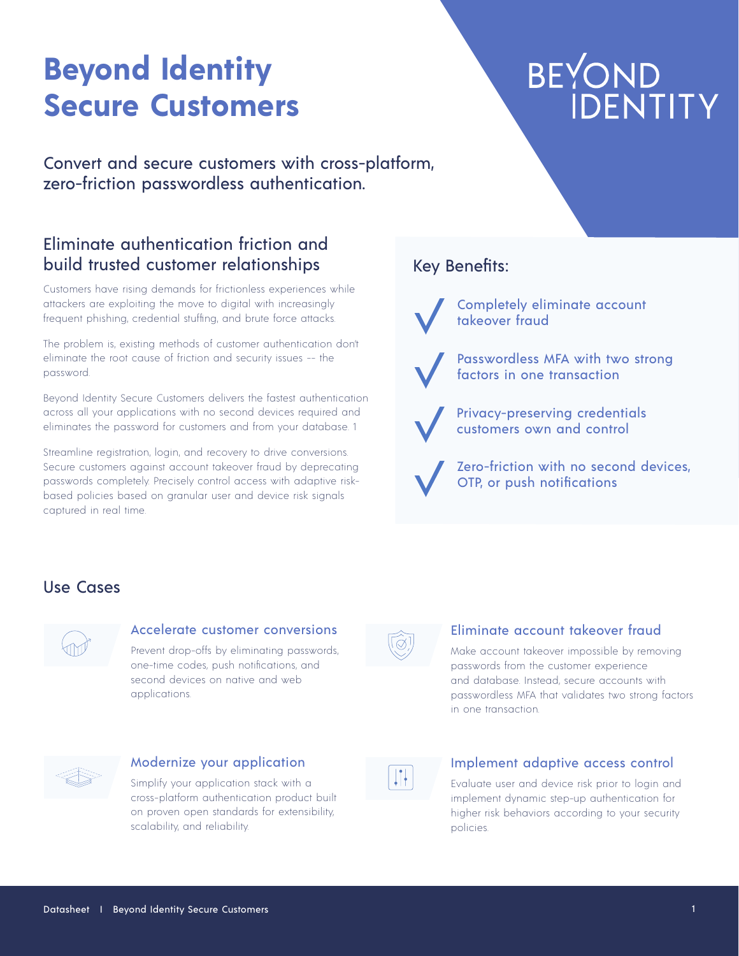# **Beyond Identity Secure Customers**

# BEYOND<br>IDENTITY

Convert and secure customers with cross-platform, zero-friction passwordless authentication.

# Eliminate authentication friction and build trusted customer relationships

Customers have rising demands for frictionless experiences while attackers are exploiting the move to digital with increasingly frequent phishing, credential stuffing, and brute force attacks.

The problem is, existing methods of customer authentication don't eliminate the root cause of friction and security issues -- the password.

Beyond Identity Secure Customers delivers the fastest authentication across all your applications with no second devices required and eliminates the password for customers and from your database. 1

Streamline registration, login, and recovery to drive conversions. Secure customers against account takeover fraud by deprecating passwords completely. Precisely control access with adaptive riskbased policies based on granular user and device risk signals captured in real time.

# Key Benefits:

Completely eliminate account takeover fraud

Passwordless MFA with two strong factors in one transaction

Privacy-preserving credentials customers own and control

Zero-friction with no second devices, OTP, or push notifications

# Use Cases



#### Accelerate customer conversions

Prevent drop-offs by eliminating passwords, one-time codes, push notifications, and second devices on native and web applications.



#### Eliminate account takeover fraud

Make account takeover impossible by removing passwords from the customer experience and database. Instead, secure accounts with passwordless MFA that validates two strong factors in one transaction.



#### Modernize your application

Simplify your application stack with a cross-platform authentication product built on proven open standards for extensibility, scalability, and reliability.



#### Implement adaptive access control

Evaluate user and device risk prior to login and implement dynamic step-up authentication for higher risk behaviors according to your security policies.